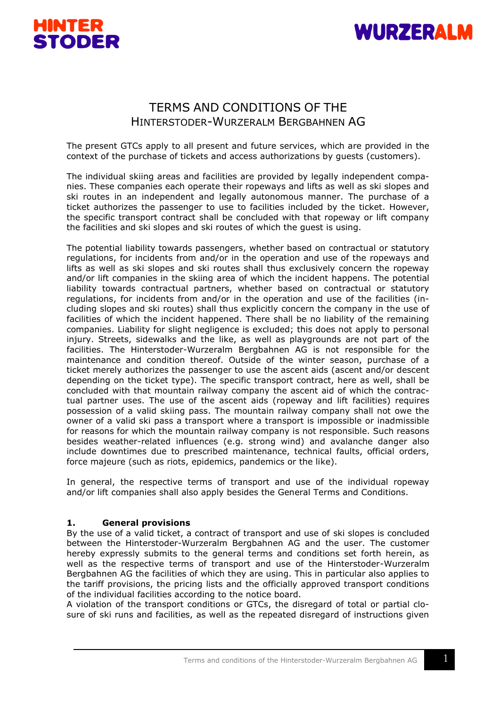



# TERMS AND CONDITIONS OF THE HINTERSTODER-WURZERALM BERGBAHNEN AG

The present GTCs apply to all present and future services, which are provided in the context of the purchase of tickets and access authorizations by guests (customers).

The individual skiing areas and facilities are provided by legally independent companies. These companies each operate their ropeways and lifts as well as ski slopes and ski routes in an independent and legally autonomous manner. The purchase of a ticket authorizes the passenger to use to facilities included by the ticket. However, the specific transport contract shall be concluded with that ropeway or lift company the facilities and ski slopes and ski routes of which the guest is using.

The potential liability towards passengers, whether based on contractual or statutory regulations, for incidents from and/or in the operation and use of the ropeways and lifts as well as ski slopes and ski routes shall thus exclusively concern the ropeway and/or lift companies in the skiing area of which the incident happens. The potential liability towards contractual partners, whether based on contractual or statutory regulations, for incidents from and/or in the operation and use of the facilities (including slopes and ski routes) shall thus explicitly concern the company in the use of facilities of which the incident happened. There shall be no liability of the remaining companies. Liability for slight negligence is excluded; this does not apply to personal injury. Streets, sidewalks and the like, as well as playgrounds are not part of the facilities. The Hinterstoder-Wurzeralm Bergbahnen AG is not responsible for the maintenance and condition thereof. Outside of the winter season, purchase of a ticket merely authorizes the passenger to use the ascent aids (ascent and/or descent depending on the ticket type). The specific transport contract, here as well, shall be concluded with that mountain railway company the ascent aid of which the contractual partner uses. The use of the ascent aids (ropeway and lift facilities) requires possession of a valid skiing pass. The mountain railway company shall not owe the owner of a valid ski pass a transport where a transport is impossible or inadmissible for reasons for which the mountain railway company is not responsible. Such reasons besides weather-related influences (e.g. strong wind) and avalanche danger also include downtimes due to prescribed maintenance, technical faults, official orders, force majeure (such as riots, epidemics, pandemics or the like).

In general, the respective terms of transport and use of the individual ropeway and/or lift companies shall also apply besides the General Terms and Conditions.

## **1. General provisions**

By the use of a valid ticket, a contract of transport and use of ski slopes is concluded between the Hinterstoder-Wurzeralm Bergbahnen AG and the user. The customer hereby expressly submits to the general terms and conditions set forth herein, as well as the respective terms of transport and use of the Hinterstoder-Wurzeralm Bergbahnen AG the facilities of which they are using. This in particular also applies to the tariff provisions, the pricing lists and the officially approved transport conditions of the individual facilities according to the notice board.

A violation of the transport conditions or GTCs, the disregard of total or partial closure of ski runs and facilities, as well as the repeated disregard of instructions given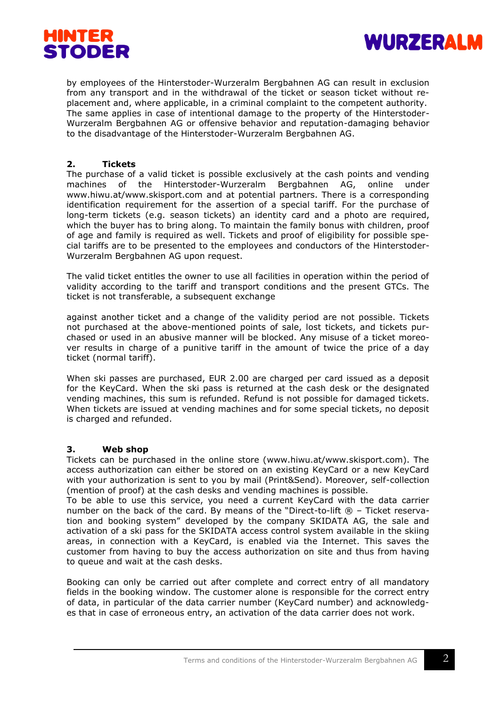



by employees of the Hinterstoder-Wurzeralm Bergbahnen AG can result in exclusion from any transport and in the withdrawal of the ticket or season ticket without replacement and, where applicable, in a criminal complaint to the competent authority. The same applies in case of intentional damage to the property of the Hinterstoder-Wurzeralm Bergbahnen AG or offensive behavior and reputation-damaging behavior to the disadvantage of the Hinterstoder-Wurzeralm Bergbahnen AG.

# **2. Tickets**

The purchase of a valid ticket is possible exclusively at the cash points and vending machines of the Hinterstoder-Wurzeralm Bergbahnen AG, online under www.hiwu.at/www.skisport.com and at potential partners. There is a corresponding identification requirement for the assertion of a special tariff. For the purchase of long-term tickets (e.g. season tickets) an identity card and a photo are required, which the buyer has to bring along. To maintain the family bonus with children, proof of age and family is required as well. Tickets and proof of eligibility for possible special tariffs are to be presented to the employees and conductors of the Hinterstoder-Wurzeralm Bergbahnen AG upon request.

The valid ticket entitles the owner to use all facilities in operation within the period of validity according to the tariff and transport conditions and the present GTCs. The ticket is not transferable, a subsequent exchange

against another ticket and a change of the validity period are not possible. Tickets not purchased at the above-mentioned points of sale, lost tickets, and tickets purchased or used in an abusive manner will be blocked. Any misuse of a ticket moreover results in charge of a punitive tariff in the amount of twice the price of a day ticket (normal tariff).

When ski passes are purchased, EUR 2.00 are charged per card issued as a deposit for the KeyCard. When the ski pass is returned at the cash desk or the designated vending machines, this sum is refunded. Refund is not possible for damaged tickets. When tickets are issued at vending machines and for some special tickets, no deposit is charged and refunded.

# **3. Web shop**

Tickets can be purchased in the online store (www.hiwu.at/www.skisport.com). The access authorization can either be stored on an existing KeyCard or a new KeyCard with your authorization is sent to you by mail (Print&Send). Moreover, self-collection (mention of proof) at the cash desks and vending machines is possible.

To be able to use this service, you need a current KeyCard with the data carrier number on the back of the card. By means of the "Direct-to-lift  $\mathcal{R}$  – Ticket reservation and booking system" developed by the company SKIDATA AG, the sale and activation of a ski pass for the SKIDATA access control system available in the skiing areas, in connection with a KeyCard, is enabled via the Internet. This saves the customer from having to buy the access authorization on site and thus from having to queue and wait at the cash desks.

Booking can only be carried out after complete and correct entry of all mandatory fields in the booking window. The customer alone is responsible for the correct entry of data, in particular of the data carrier number (KeyCard number) and acknowledges that in case of erroneous entry, an activation of the data carrier does not work.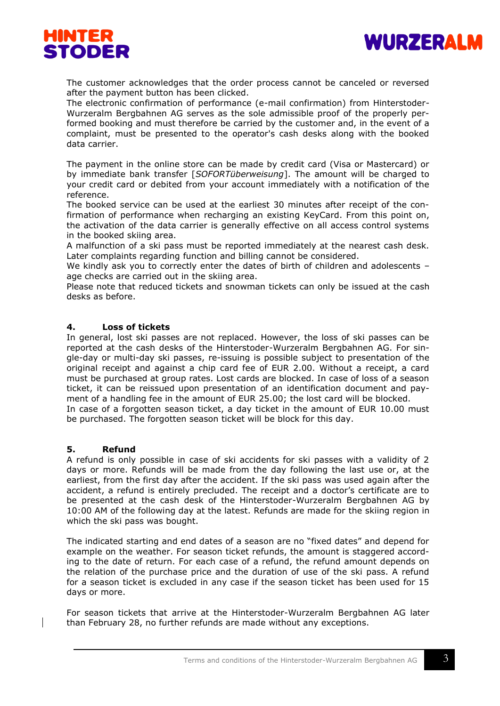



The customer acknowledges that the order process cannot be canceled or reversed after the payment button has been clicked.

The electronic confirmation of performance (e-mail confirmation) from Hinterstoder-Wurzeralm Bergbahnen AG serves as the sole admissible proof of the properly performed booking and must therefore be carried by the customer and, in the event of a complaint, must be presented to the operator's cash desks along with the booked data carrier.

The payment in the online store can be made by credit card (Visa or Mastercard) or by immediate bank transfer [*SOFORTüberweisung*]. The amount will be charged to your credit card or debited from your account immediately with a notification of the reference.

The booked service can be used at the earliest 30 minutes after receipt of the confirmation of performance when recharging an existing KeyCard. From this point on, the activation of the data carrier is generally effective on all access control systems in the booked skiing area.

A malfunction of a ski pass must be reported immediately at the nearest cash desk. Later complaints regarding function and billing cannot be considered.

We kindly ask you to correctly enter the dates of birth of children and adolescents age checks are carried out in the skiing area.

Please note that reduced tickets and snowman tickets can only be issued at the cash desks as before.

## **4. Loss of tickets**

In general, lost ski passes are not replaced. However, the loss of ski passes can be reported at the cash desks of the Hinterstoder-Wurzeralm Bergbahnen AG. For single-day or multi-day ski passes, re-issuing is possible subject to presentation of the original receipt and against a chip card fee of EUR 2.00. Without a receipt, a card must be purchased at group rates. Lost cards are blocked. In case of loss of a season ticket, it can be reissued upon presentation of an identification document and payment of a handling fee in the amount of EUR 25.00; the lost card will be blocked. In case of a forgotten season ticket, a day ticket in the amount of EUR 10.00 must

be purchased. The forgotten season ticket will be block for this day.

#### **5. Refund**

A refund is only possible in case of ski accidents for ski passes with a validity of 2 days or more. Refunds will be made from the day following the last use or, at the earliest, from the first day after the accident. If the ski pass was used again after the accident, a refund is entirely precluded. The receipt and a doctor's certificate are to be presented at the cash desk of the Hinterstoder-Wurzeralm Bergbahnen AG by 10:00 AM of the following day at the latest. Refunds are made for the skiing region in which the ski pass was bought.

The indicated starting and end dates of a season are no "fixed dates" and depend for example on the weather. For season ticket refunds, the amount is staggered according to the date of return. For each case of a refund, the refund amount depends on the relation of the purchase price and the duration of use of the ski pass. A refund for a season ticket is excluded in any case if the season ticket has been used for 15 days or more.

For season tickets that arrive at the Hinterstoder-Wurzeralm Bergbahnen AG later than February 28, no further refunds are made without any exceptions.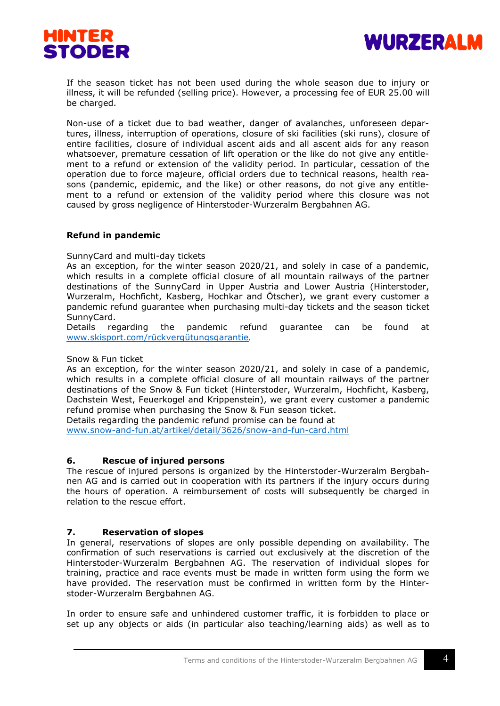



If the season ticket has not been used during the whole season due to injury or illness, it will be refunded (selling price). However, a processing fee of EUR 25.00 will be charged.

Non-use of a ticket due to bad weather, danger of avalanches, unforeseen departures, illness, interruption of operations, closure of ski facilities (ski runs), closure of entire facilities, closure of individual ascent aids and all ascent aids for any reason whatsoever, premature cessation of lift operation or the like do not give any entitlement to a refund or extension of the validity period. In particular, cessation of the operation due to force majeure, official orders due to technical reasons, health reasons (pandemic, epidemic, and the like) or other reasons, do not give any entitlement to a refund or extension of the validity period where this closure was not caused by gross negligence of Hinterstoder-Wurzeralm Bergbahnen AG.

## **Refund in pandemic**

#### SunnyCard and multi-day tickets

As an exception, for the winter season 2020/21, and solely in case of a pandemic, which results in a complete official closure of all mountain railways of the partner destinations of the SunnyCard in Upper Austria and Lower Austria (Hinterstoder, Wurzeralm, Hochficht, Kasberg, Hochkar and Ötscher), we grant every customer a pandemic refund guarantee when purchasing multi-day tickets and the season ticket SunnyCard.

Details regarding the pandemic refund guarantee can be found at [www.skisport.com/rückvergütungsgarantie](http://www.skisport.com/rückvergütungsgarantie).

#### Snow & Fun ticket

As an exception, for the winter season 2020/21, and solely in case of a pandemic, which results in a complete official closure of all mountain railways of the partner destinations of the Snow & Fun ticket (Hinterstoder, Wurzeralm, Hochficht, Kasberg, Dachstein West, Feuerkogel and Krippenstein), we grant every customer a pandemic refund promise when purchasing the Snow & Fun season ticket. Details regarding the pandemic refund promise can be found at

[www.snow-and-fun.at/artikel/detail/3626/snow-and-fun-card.html](http://www.snow-and-fun.at/artikel/detail/3626/snow-and-fun-card.html)

## **6. Rescue of injured persons**

The rescue of injured persons is organized by the Hinterstoder-Wurzeralm Bergbahnen AG and is carried out in cooperation with its partners if the injury occurs during the hours of operation. A reimbursement of costs will subsequently be charged in relation to the rescue effort.

## **7. Reservation of slopes**

In general, reservations of slopes are only possible depending on availability. The confirmation of such reservations is carried out exclusively at the discretion of the Hinterstoder-Wurzeralm Bergbahnen AG. The reservation of individual slopes for training, practice and race events must be made in written form using the form we have provided. The reservation must be confirmed in written form by the Hinterstoder-Wurzeralm Bergbahnen AG.

In order to ensure safe and unhindered customer traffic, it is forbidden to place or set up any objects or aids (in particular also teaching/learning aids) as well as to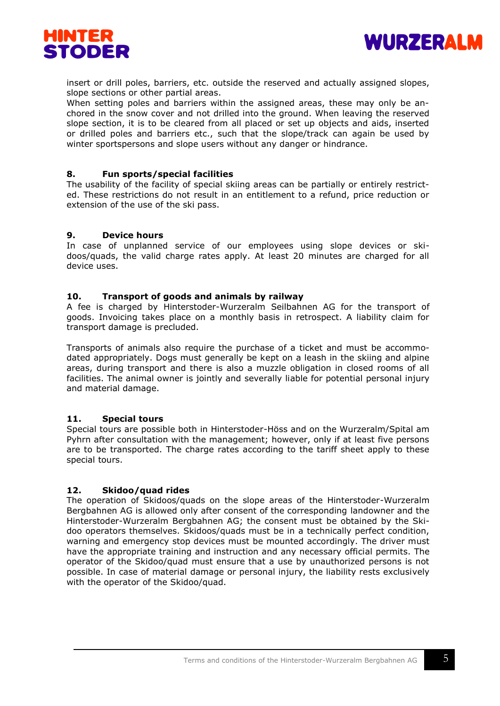



insert or drill poles, barriers, etc. outside the reserved and actually assigned slopes, slope sections or other partial areas.

When setting poles and barriers within the assigned areas, these may only be anchored in the snow cover and not drilled into the ground. When leaving the reserved slope section, it is to be cleared from all placed or set up objects and aids, inserted or drilled poles and barriers etc., such that the slope/track can again be used by winter sportspersons and slope users without any danger or hindrance.

## **8. Fun sports/special facilities**

The usability of the facility of special skiing areas can be partially or entirely restricted. These restrictions do not result in an entitlement to a refund, price reduction or extension of the use of the ski pass.

## **9. Device hours**

In case of unplanned service of our employees using slope devices or skidoos/quads, the valid charge rates apply. At least 20 minutes are charged for all device uses.

## **10. Transport of goods and animals by railway**

A fee is charged by Hinterstoder-Wurzeralm Seilbahnen AG for the transport of goods. Invoicing takes place on a monthly basis in retrospect. A liability claim for transport damage is precluded.

Transports of animals also require the purchase of a ticket and must be accommodated appropriately. Dogs must generally be kept on a leash in the skiing and alpine areas, during transport and there is also a muzzle obligation in closed rooms of all facilities. The animal owner is jointly and severally liable for potential personal injury and material damage.

## **11. Special tours**

Special tours are possible both in Hinterstoder-Höss and on the Wurzeralm/Spital am Pyhrn after consultation with the management; however, only if at least five persons are to be transported. The charge rates according to the tariff sheet apply to these special tours.

# **12. Skidoo/quad rides**

The operation of Skidoos/quads on the slope areas of the Hinterstoder-Wurzeralm Bergbahnen AG is allowed only after consent of the corresponding landowner and the Hinterstoder-Wurzeralm Bergbahnen AG; the consent must be obtained by the Skidoo operators themselves. Skidoos/quads must be in a technically perfect condition, warning and emergency stop devices must be mounted accordingly. The driver must have the appropriate training and instruction and any necessary official permits. The operator of the Skidoo/quad must ensure that a use by unauthorized persons is not possible. In case of material damage or personal injury, the liability rests exclusively with the operator of the Skidoo/quad.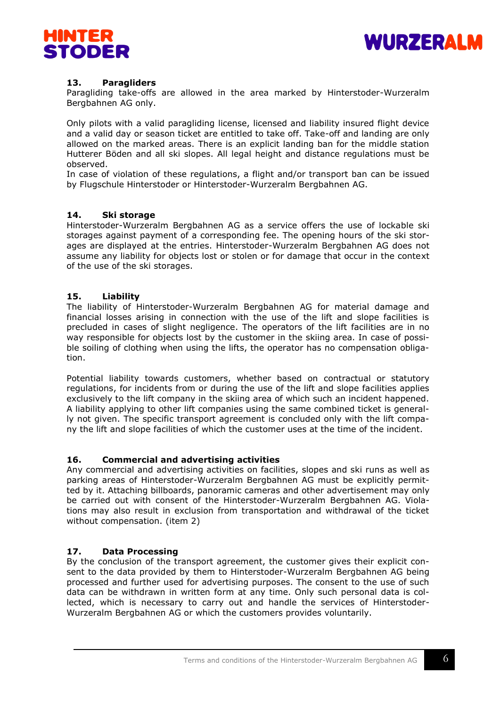



# **13. Paragliders**

Paragliding take-offs are allowed in the area marked by Hinterstoder-Wurzeralm Bergbahnen AG only.

Only pilots with a valid paragliding license, licensed and liability insured flight device and a valid day or season ticket are entitled to take off. Take-off and landing are only allowed on the marked areas. There is an explicit landing ban for the middle station Hutterer Böden and all ski slopes. All legal height and distance regulations must be observed.

In case of violation of these regulations, a flight and/or transport ban can be issued by Flugschule Hinterstoder or Hinterstoder-Wurzeralm Bergbahnen AG.

## **14. Ski storage**

Hinterstoder-Wurzeralm Bergbahnen AG as a service offers the use of lockable ski storages against payment of a corresponding fee. The opening hours of the ski storages are displayed at the entries. Hinterstoder-Wurzeralm Bergbahnen AG does not assume any liability for objects lost or stolen or for damage that occur in the context of the use of the ski storages.

#### **15. Liability**

The liability of Hinterstoder-Wurzeralm Bergbahnen AG for material damage and financial losses arising in connection with the use of the lift and slope facilities is precluded in cases of slight negligence. The operators of the lift facilities are in no way responsible for objects lost by the customer in the skiing area. In case of possible soiling of clothing when using the lifts, the operator has no compensation obligation.

Potential liability towards customers, whether based on contractual or statutory regulations, for incidents from or during the use of the lift and slope facilities applies exclusively to the lift company in the skiing area of which such an incident happened. A liability applying to other lift companies using the same combined ticket is generally not given. The specific transport agreement is concluded only with the lift company the lift and slope facilities of which the customer uses at the time of the incident.

## **16. Commercial and advertising activities**

Any commercial and advertising activities on facilities, slopes and ski runs as well as parking areas of Hinterstoder-Wurzeralm Bergbahnen AG must be explicitly permitted by it. Attaching billboards, panoramic cameras and other advertisement may only be carried out with consent of the Hinterstoder-Wurzeralm Bergbahnen AG. Violations may also result in exclusion from transportation and withdrawal of the ticket without compensation. (item 2)

## **17. Data Processing**

By the conclusion of the transport agreement, the customer gives their explicit consent to the data provided by them to Hinterstoder-Wurzeralm Bergbahnen AG being processed and further used for advertising purposes. The consent to the use of such data can be withdrawn in written form at any time. Only such personal data is collected, which is necessary to carry out and handle the services of Hinterstoder-Wurzeralm Bergbahnen AG or which the customers provides voluntarily.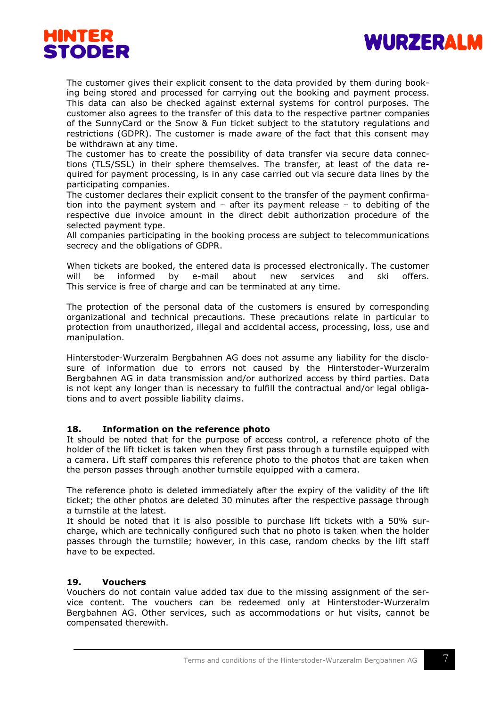



The customer gives their explicit consent to the data provided by them during booking being stored and processed for carrying out the booking and payment process. This data can also be checked against external systems for control purposes. The customer also agrees to the transfer of this data to the respective partner companies of the SunnyCard or the Snow & Fun ticket subject to the statutory regulations and restrictions (GDPR). The customer is made aware of the fact that this consent may be withdrawn at any time.

The customer has to create the possibility of data transfer via secure data connections (TLS/SSL) in their sphere themselves. The transfer, at least of the data required for payment processing, is in any case carried out via secure data lines by the participating companies.

The customer declares their explicit consent to the transfer of the payment confirmation into the payment system and – after its payment release – to debiting of the respective due invoice amount in the direct debit authorization procedure of the selected payment type.

All companies participating in the booking process are subject to telecommunications secrecy and the obligations of GDPR.

When tickets are booked, the entered data is processed electronically. The customer will be informed by e-mail about new services and ski offers. This service is free of charge and can be terminated at any time.

The protection of the personal data of the customers is ensured by corresponding organizational and technical precautions. These precautions relate in particular to protection from unauthorized, illegal and accidental access, processing, loss, use and manipulation.

Hinterstoder-Wurzeralm Bergbahnen AG does not assume any liability for the disclosure of information due to errors not caused by the Hinterstoder-Wurzeralm Bergbahnen AG in data transmission and/or authorized access by third parties. Data is not kept any longer than is necessary to fulfill the contractual and/or legal obligations and to avert possible liability claims.

## **18. Information on the reference photo**

It should be noted that for the purpose of access control, a reference photo of the holder of the lift ticket is taken when they first pass through a turnstile equipped with a camera. Lift staff compares this reference photo to the photos that are taken when the person passes through another turnstile equipped with a camera.

The reference photo is deleted immediately after the expiry of the validity of the lift ticket; the other photos are deleted 30 minutes after the respective passage through a turnstile at the latest.

It should be noted that it is also possible to purchase lift tickets with a 50% surcharge, which are technically configured such that no photo is taken when the holder passes through the turnstile; however, in this case, random checks by the lift staff have to be expected.

## **19. Vouchers**

Vouchers do not contain value added tax due to the missing assignment of the service content. The vouchers can be redeemed only at Hinterstoder-Wurzeralm Bergbahnen AG. Other services, such as accommodations or hut visits, cannot be compensated therewith.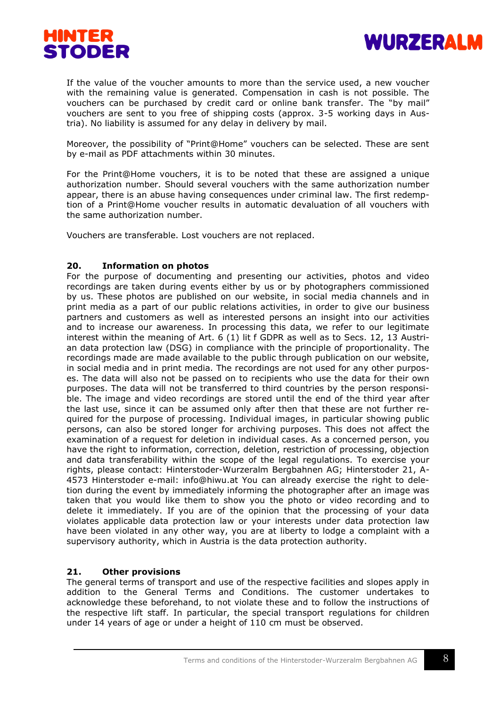



If the value of the voucher amounts to more than the service used, a new voucher with the remaining value is generated. Compensation in cash is not possible. The vouchers can be purchased by credit card or online bank transfer. The "by mail" vouchers are sent to you free of shipping costs (approx. 3-5 working days in Austria). No liability is assumed for any delay in delivery by mail.

Moreover, the possibility of "Print@Home" vouchers can be selected. These are sent by e-mail as PDF attachments within 30 minutes.

For the Print@Home vouchers, it is to be noted that these are assigned a unique authorization number. Should several vouchers with the same authorization number appear, there is an abuse having consequences under criminal law. The first redemption of a Print@Home voucher results in automatic devaluation of all vouchers with the same authorization number.

Vouchers are transferable. Lost vouchers are not replaced.

## **20. Information on photos**

For the purpose of documenting and presenting our activities, photos and video recordings are taken during events either by us or by photographers commissioned by us. These photos are published on our website, in social media channels and in print media as a part of our public relations activities, in order to give our business partners and customers as well as interested persons an insight into our activities and to increase our awareness. In processing this data, we refer to our legitimate interest within the meaning of Art. 6 (1) lit f GDPR as well as to Secs. 12, 13 Austrian data protection law (DSG) in compliance with the principle of proportionality. The recordings made are made available to the public through publication on our website, in social media and in print media. The recordings are not used for any other purposes. The data will also not be passed on to recipients who use the data for their own purposes. The data will not be transferred to third countries by the person responsible. The image and video recordings are stored until the end of the third year after the last use, since it can be assumed only after then that these are not further required for the purpose of processing. Individual images, in particular showing public persons, can also be stored longer for archiving purposes. This does not affect the examination of a request for deletion in individual cases. As a concerned person, you have the right to information, correction, deletion, restriction of processing, objection and data transferability within the scope of the legal regulations. To exercise your rights, please contact: Hinterstoder-Wurzeralm Bergbahnen AG; Hinterstoder 21, A-4573 Hinterstoder e-mail: info@hiwu.at You can already exercise the right to deletion during the event by immediately informing the photographer after an image was taken that you would like them to show you the photo or video recording and to delete it immediately. If you are of the opinion that the processing of your data violates applicable data protection law or your interests under data protection law have been violated in any other way, you are at liberty to lodge a complaint with a supervisory authority, which in Austria is the data protection authority.

# **21. Other provisions**

The general terms of transport and use of the respective facilities and slopes apply in addition to the General Terms and Conditions. The customer undertakes to acknowledge these beforehand, to not violate these and to follow the instructions of the respective lift staff. In particular, the special transport regulations for children under 14 years of age or under a height of 110 cm must be observed.